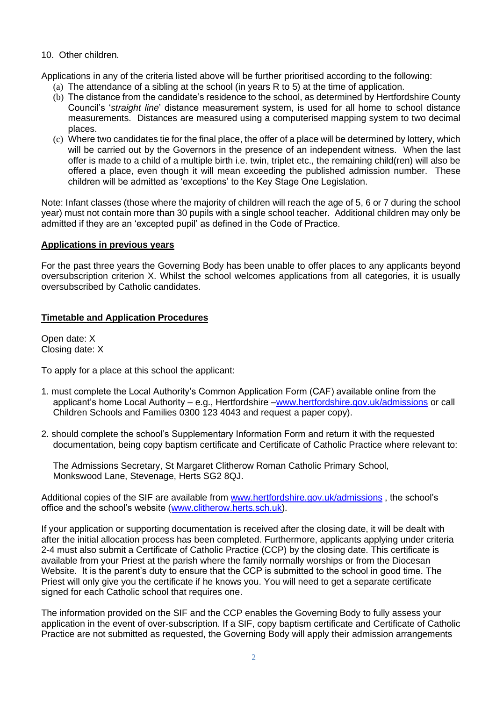#### 10. Other children.

Applications in any of the criteria listed above will be further prioritised according to the following:

- (a) The attendance of a sibling at the school (in years R to 5) at the time of application.
- (b) The distance from the candidate's residence to the school, as determined by Hertfordshire County Council's '*straight line*' distance measurement system, is used for all home to school distance measurements. Distances are measured using a computerised mapping system to two decimal places.
- (c) Where two candidates tie for the final place, the offer of a place will be determined by lottery, which will be carried out by the Governors in the presence of an independent witness. When the last offer is made to a child of a multiple birth i.e. twin, triplet etc., the remaining child(ren) will also be offered a place, even though it will mean exceeding the published admission number. These children will be admitted as 'exceptions' to the Key Stage One Legislation.

Note: Infant classes (those where the majority of children will reach the age of 5, 6 or 7 during the school year) must not contain more than 30 pupils with a single school teacher. Additional children may only be admitted if they are an 'excepted pupil' as defined in the Code of Practice.

#### **Applications in previous years**

For the past three years the Governing Body has been unable to offer places to any applicants beyond oversubscription criterion X. Whilst the school welcomes applications from all categories, it is usually oversubscribed by Catholic candidates.

#### **Timetable and Application Procedures**

Open date: 1RYHPEHU Closing date: -DQXDU\

To apply for a place at this school the applicant:

- 1. must complete the Local Authority's Common Application Form (CAF) available online from the applicant's home Local Authority – e.g., Hertfordshire [–www.hertfordshire.gov.uk/admissions](http://www.hertfordshire.gov.uk/admissions) or call Children Schools and Families 0300 123 4043 and request a paper copy).
- 2. should complete the school's Supplementary Information Form and return it with the requested documentation, being copy baptism certificate and Certificate of Catholic Practice where relevant to:

The Admissions Secretary, St Margaret Clitherow Roman Catholic Primary School, Monkswood Lane, Stevenage, Herts SG2 8QJ.

Additional copies of the SIF are available from [www.hertfordshire.gov.uk/admissions](http://www.hertfordshire.gov.uk/admissions) , the school's office and the school's website [\(www.clitherow.herts.sch.uk\)](http://www.clitherow.herts.sch.uk/).

If your application or supporting documentation is received after the closing date, it will be dealt with after the initial allocation process has been completed. Furthermore, applicants applying under criteria 2-4 must also submit a Certificate of Catholic Practice (CCP) by the closing date. This certificate is available from your Priest at the parish where the family normally worships or from the Diocesan Website. It is the parent's duty to ensure that the CCP is submitted to the school in good time. The Priest will only give you the certificate if he knows you. You will need to get a separate certificate signed for each Catholic school that requires one.

The information provided on the SIF and the CCP enables the Governing Body to fully assess your application in the event of over-subscription. If a SIF, copy baptism certificate and Certificate of Catholic Practice are not submitted as requested, the Governing Body will apply their admission arrangements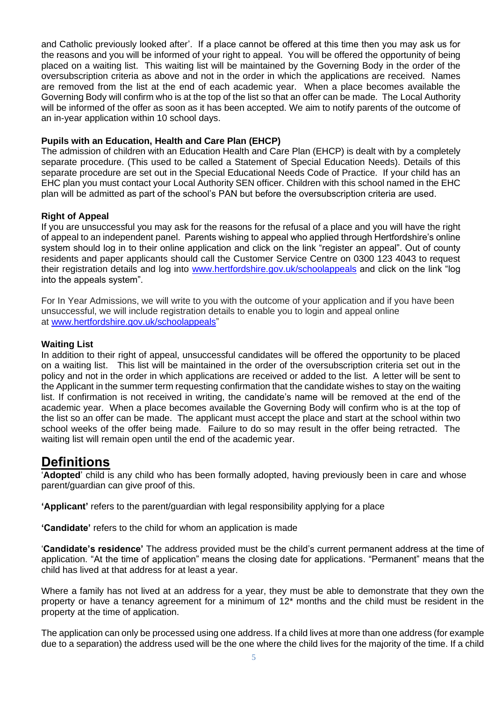and Catholic previously looked after'. If a place cannot be offered at this time then you may ask us for the reasons and you will be informed of your right to appeal. You will be offered the opportunity of being placed on a waiting list. This waiting list will be maintained by the Governing Body in the order of the oversubscription criteria as above and not in the order in which the applications are received. Names are removed from the list at the end of each academic year. When a place becomes available the Governing Body will confirm who is at the top of the list so that an offer can be made. The Local Authority will be informed of the offer as soon as it has been accepted. We aim to notify parents of the outcome of an in-year application within 10 school days.

#### **Pupils with an Education, Health and Care Plan (EHCP)**

The admission of children with an Education Health and Care Plan (EHCP) is dealt with by a completely separate procedure. (This used to be called a Statement of Special Education Needs). Details of this separate procedure are set out in the Special Educational Needs Code of Practice. If your child has an EHC plan you must contact your Local Authority SEN officer. Children with this school named in the EHC plan will be admitted as part of the school's PAN but before the oversubscription criteria are used.

#### **Right of Appeal**

If you are unsuccessful you may ask for the reasons for the refusal of a place and you will have the right of appeal to an independent panel.Parents wishing to appeal who applied through Hertfordshire's online system should log in to their online application and click on the link "register an appeal". Out of county residents and paper applicants should call the Customer Service Centre on 0300 123 4043 to request their registration details and log into [www.hertfordshire.gov.uk/schoolappeals](http://www.hertfordshire.gov.uk/schoolappeals) and click on the link "log into the appeals system".

For In Year Admissions, we will write to you with the outcome of your application and if you have been unsuccessful, we will include registration details to enable you to login and appeal online at [www.hertfordshire.gov.uk/schoolappeals"](http://www.hertfordshire.gov.uk/schoolappeals)

#### **Waiting List**

In addition to their right of appeal, unsuccessful candidates will be offered the opportunity to be placed on a waiting list. This list will be maintained in the order of the oversubscription criteria set out in the policy and not in the order in which applications are received or added to the list. A letter will be sent to the Applicant in the summer term requesting confirmation that the candidate wishes to stay on the waiting list. If confirmation is not received in writing, the candidate's name will be removed at the end of the academic year. When a place becomes available the Governing Body will confirm who is at the top of the list so an offer can be made. The applicant must accept the place and start at the school within two school weeks of the offer being made. Failure to do so may result in the offer being retracted. The waiting list will remain open until the end of the academic year.

#### **Definitions**

'**Adopted**' child is any child who has been formally adopted, having previously been in care and whose parent/guardian can give proof of this.

**'Applicant'** refers to the parent/guardian with legal responsibility applying for a place

**'Candidate'** refers to the child for whom an application is made

'**Candidate's residence'** The address provided must be the child's current permanent address at the time of application. "At the time of application" means the closing date for applications. "Permanent" means that the child has lived at that address for at least a year.

Where a family has not lived at an address for a year, they must be able to demonstrate that they own the property or have a tenancy agreement for a minimum of 12\* months and the child must be resident in the property at the time of application.

The application can only be processed using one address. If a child lives at more than one address (for example due to a separation) the address used will be the one where the child lives for the majority of the time. If a child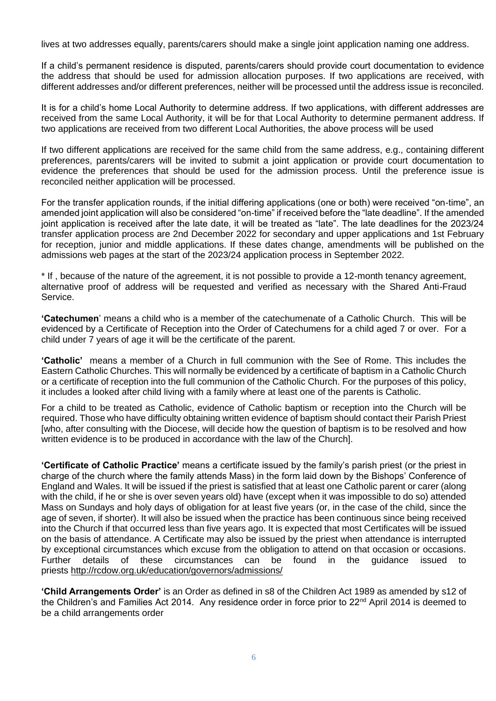lives at two addresses equally, parents/carers should make a single joint application naming one address.

If a child's permanent residence is disputed, parents/carers should provide court documentation to evidence the address that should be used for admission allocation purposes. If two applications are received, with different addresses and/or different preferences, neither will be processed until the address issue is reconciled.

It is for a child's home Local Authority to determine address. If two applications, with different addresses are received from the same Local Authority, it will be for that Local Authority to determine permanent address. If two applications are received from two different Local Authorities, the above process will be used

If two different applications are received for the same child from the same address, e.g., containing different preferences, parents/carers will be invited to submit a joint application or provide court documentation to evidence the preferences that should be used for the admission process. Until the preference issue is reconciled neither application will be processed.

For the transfer application rounds, if the initial differing applications (one or both) were received "on-time", an amended joint application will also be considered "on-time" if received before the "late deadline". If the amended joint application is received after the late date, it will be treated as "late". The late deadlines for the 2023/24 transfer application process are 2nd December 2022 for secondary and upper applications and 1st February for reception, junior and middle applications. If these dates change, amendments will be published on the admissions web pages at the start of the 2023/24 application process in September 2022.

\* If , because of the nature of the agreement, it is not possible to provide a 12-month tenancy agreement, alternative proof of address will be requested and verified as necessary with the Shared Anti-Fraud Service.

**'Catechumen**' means a child who is a member of the catechumenate of a Catholic Church. This will be evidenced by a Certificate of Reception into the Order of Catechumens for a child aged 7 or over. For a child under 7 years of age it will be the certificate of the parent.

**'Catholic'** means a member of a Church in full communion with the See of Rome. This includes the Eastern Catholic Churches. This will normally be evidenced by a certificate of baptism in a Catholic Church or a certificate of reception into the full communion of the Catholic Church. For the purposes of this policy, it includes a looked after child living with a family where at least one of the parents is Catholic.

For a child to be treated as Catholic, evidence of Catholic baptism or reception into the Church will be required. Those who have difficulty obtaining written evidence of baptism should contact their Parish Priest [who, after consulting with the Diocese, will decide how the question of baptism is to be resolved and how written evidence is to be produced in accordance with the law of the Church].

**'Certificate of Catholic Practice'** means a certificate issued by the family's parish priest (or the priest in charge of the church where the family attends Mass) in the form laid down by the Bishops' Conference of England and Wales. It will be issued if the priest is satisfied that at least one Catholic parent or carer (along with the child, if he or she is over seven years old) have (except when it was impossible to do so) attended Mass on Sundays and holy days of obligation for at least five years (or, in the case of the child, since the age of seven, if shorter). It will also be issued when the practice has been continuous since being received into the Church if that occurred less than five years ago. It is expected that most Certificates will be issued on the basis of attendance. A Certificate may also be issued by the priest when attendance is interrupted by exceptional circumstances which excuse from the obligation to attend on that occasion or occasions. Further details of these circumstances can be found in the guidance issued to priests <http://rcdow.org.uk/education/governors/admissions/>

**'Child Arrangements Order'** is an Order as defined in s8 of the Children Act 1989 as amended by s12 of the Children's and Families Act 2014. Any residence order in force prior to 22<sup>nd</sup> April 2014 is deemed to be a child arrangements order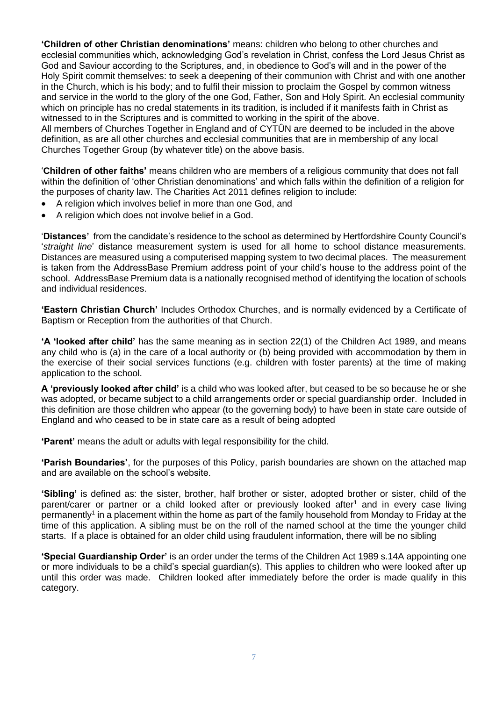**'Children of other Christian denominations'** means: children who belong to other churches and ecclesial communities which, acknowledging God's revelation in Christ, confess the Lord Jesus Christ as God and Saviour according to the Scriptures, and, in obedience to God's will and in the power of the Holy Spirit commit themselves: to seek a deepening of their communion with Christ and with one another in the Church, which is his body; and to fulfil their mission to proclaim the Gospel by common witness and service in the world to the glory of the one God, Father, Son and Holy Spirit. An ecclesial community which on principle has no credal statements in its tradition, is included if it manifests faith in Christ as witnessed to in the Scriptures and is committed to working in the spirit of the above.

All members of Churches Together in England and of CYTÛN are deemed to be included in the above definition, as are all other churches and ecclesial communities that are in membership of any local Churches Together Group (by whatever title) on the above basis.

'**Children of other faiths'** means children who are members of a religious community that does not fall within the definition of 'other Christian denominations' and which falls within the definition of a religion for the purposes of charity law. The Charities Act 2011 defines religion to include:

- A religion which involves belief in more than one God, and
- A religion which does not involve belief in a God.

'**Distances'** from the candidate's residence to the school as determined by Hertfordshire County Council's '*straight line*' distance measurement system is used for all home to school distance measurements. Distances are measured using a computerised mapping system to two decimal places. The measurement is taken from the AddressBase Premium address point of your child's house to the address point of the school. AddressBase Premium data is a nationally recognised method of identifying the location of schools and individual residences.

**'Eastern Christian Church'** Includes Orthodox Churches, and is normally evidenced by a Certificate of Baptism or Reception from the authorities of that Church.

**'A 'looked after child'** has the same meaning as in section 22(1) of the Children Act 1989, and means any child who is (a) in the care of a local authority or (b) being provided with accommodation by them in the exercise of their social services functions (e.g. children with foster parents) at the time of making application to the school.

**A 'previously looked after child'** is a child who was looked after, but ceased to be so because he or she was adopted, or became subject to a child arrangements order or special guardianship order. Included in this definition are those children who appear (to the governing body) to have been in state care outside of England and who ceased to be in state care as a result of being adopted

**'Parent'** means the adult or adults with legal responsibility for the child.

**'Parish Boundaries'**, for the purposes of this Policy, parish boundaries are shown on the attached map and are available on the school's website.

**'Sibling'** is defined as: the sister, brother, half brother or sister, adopted brother or sister, child of the parent/carer or partner or a child looked after or previously looked after<sup>1</sup> and in every case living permanently<sup>1</sup> in a placement within the home as part of the family household from Monday to Friday at the time of this application. A sibling must be on the roll of the named school at the time the younger child starts. If a place is obtained for an older child using fraudulent information, there will be no sibling

**'Special Guardianship Order'** is an order under the terms of the Children Act 1989 s.14A appointing one or more individuals to be a child's special guardian(s). This applies to children who were looked after up until this order was made. Children looked after immediately before the order is made qualify in this category.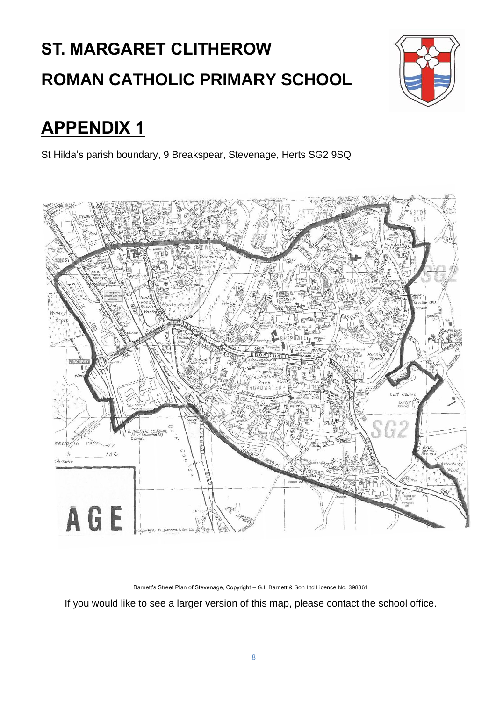# **ST. MARGARET CLITHEROW ROMAN CATHOLIC PRIMARY SCHOOL**



## **APPENDIX 1**

St Hilda's parish boundary, 9 Breakspear, Stevenage, Herts SG2 9SQ



Barnett's Street Plan of Stevenage, Copyright – G.I. Barnett & Son Ltd Licence No. 398861

If you would like to see a larger version of this map, please contact the school office.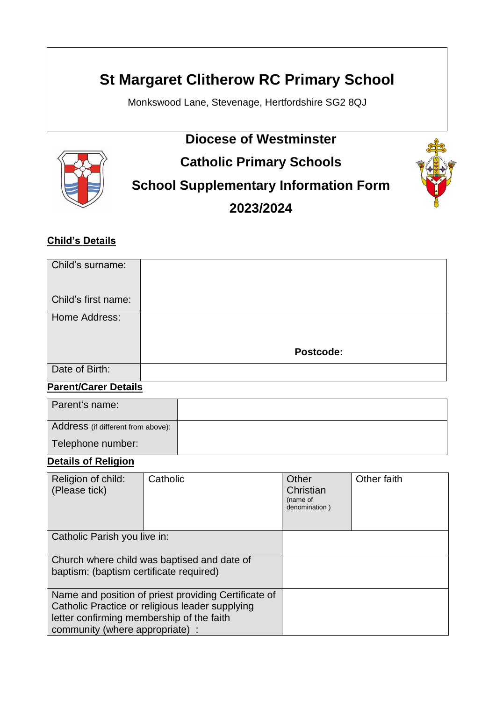### **St Margaret Clitherow RC Primary School**

Monkswood Lane, Stevenage, Hertfordshire SG2 8QJ



## **Diocese of Westminster Catholic Primary Schools School Supplementary Information Form**

**2023/2024**



#### **Child's Details**

| Child's surname:    |           |
|---------------------|-----------|
| Child's first name: |           |
| Home Address:       |           |
|                     | Postcode: |
| Date of Birth:      |           |

#### **Parent/Carer Details**

| Parent's name:                     |  |
|------------------------------------|--|
| Address (if different from above): |  |
| Telephone number:                  |  |

#### **Details of Religion**

| Religion of child:<br>(Please tick)                                                                                                                                                     | Catholic | Other<br>Christian<br>(name of<br>denomination) | Other faith |
|-----------------------------------------------------------------------------------------------------------------------------------------------------------------------------------------|----------|-------------------------------------------------|-------------|
| Catholic Parish you live in:                                                                                                                                                            |          |                                                 |             |
| Church where child was baptised and date of<br>baptism: (baptism certificate required)                                                                                                  |          |                                                 |             |
| Name and position of priest providing Certificate of<br>Catholic Practice or religious leader supplying<br>letter confirming membership of the faith<br>community (where appropriate) : |          |                                                 |             |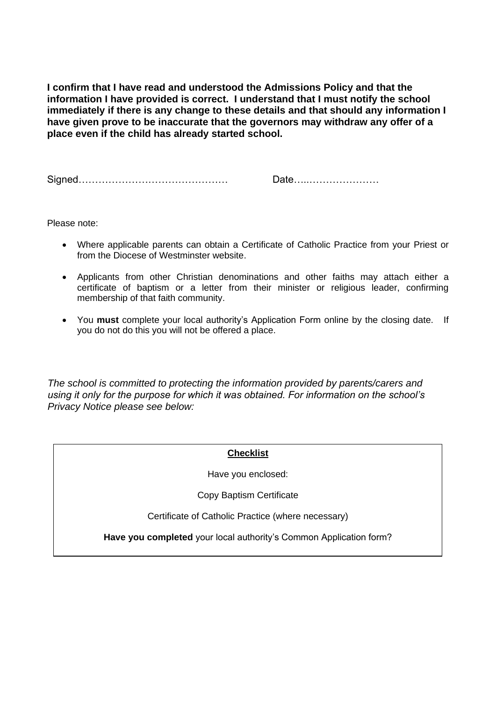**I confirm that I have read and understood the Admissions Policy and that the information I have provided is correct. I understand that I must notify the school immediately if there is any change to these details and that should any information I have given prove to be inaccurate that the governors may withdraw any offer of a place even if the child has already started school.**

Signed……………………………………… Date…..…………………

Please note:

- Where applicable parents can obtain a Certificate of Catholic Practice from your Priest or from the Diocese of Westminster website.
- Applicants from other Christian denominations and other faiths may attach either a certificate of baptism or a letter from their minister or religious leader, confirming membership of that faith community.
- You **must** complete your local authority's Application Form online by the closing date. If you do not do this you will not be offered a place.

*The school is committed to protecting the information provided by parents/carers and using it only for the purpose for which it was obtained. For information on the school's Privacy Notice please see below:*

#### **Checklist**

Have you enclosed:

Copy Baptism Certificate

Certificate of Catholic Practice (where necessary)

**Have you completed** your local authority's Common Application form?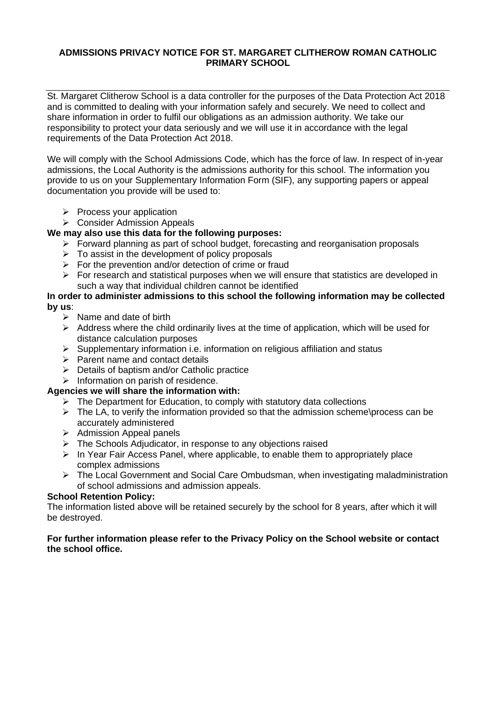#### **ADMISSIONS PRIVACY NOTICE FOR ST. MARGARET CLITHEROW ROMAN CATHOLIC PRIMARY SCHOOL**

St. Margaret Clitherow School is a data controller for the purposes of the Data Protection Act 2018 and is committed to dealing with your information safely and securely. We need to collect and share information in order to fulfil our obligations as an admission authority. We take our responsibility to protect your data seriously and we will use it in accordance with the legal requirements of the Data Protection Act 2018.

We will comply with the School Admissions Code, which has the force of law. In respect of in-year admissions, the Local Authority is the admissions authority for this school. The information you provide to us on your Supplementary Information Form (SIF), any supporting papers or appeal documentation you provide will be used to:

- $\triangleright$  Process your application
- ➢ Consider Admission Appeals

#### **We may also use this data for the following purposes:**

- ➢ Forward planning as part of school budget, forecasting and reorganisation proposals
- $\triangleright$  To assist in the development of policy proposals
- $\triangleright$  For the prevention and/or detection of crime or fraud
- $\triangleright$  For research and statistical purposes when we will ensure that statistics are developed in such a way that individual children cannot be identified

#### **In order to administer admissions to this school the following information may be collected by us**:

- $\triangleright$  Name and date of birth
- $\triangleright$  Address where the child ordinarily lives at the time of application, which will be used for distance calculation purposes
- ➢ Supplementary information i.e. information on religious affiliation and status
- ➢ Parent name and contact details
- ➢ Details of baptism and/or Catholic practice
- ➢ Information on parish of residence.

#### **Agencies we will share the information with:**

- ➢ The Department for Education, to comply with statutory data collections
- ➢ The LA, to verify the information provided so that the admission scheme\process can be accurately administered
- ➢ Admission Appeal panels
- ➢ The Schools Adjudicator, in response to any objections raised
- ➢ In Year Fair Access Panel, where applicable, to enable them to appropriately place complex admissions
- ➢ The Local Government and Social Care Ombudsman, when investigating maladministration of school admissions and admission appeals.

#### **School Retention Policy:**

The information listed above will be retained securely by the school for 8 years, after which it will be destroyed.

#### **For further information please refer to the Privacy Policy on the School website or contact the school office.**